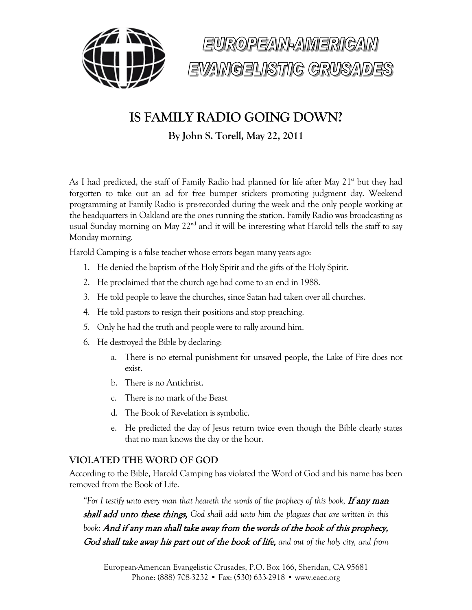



## **IS FAMILY RADIO GOING DOWN?**

**By John S. Torell, May 22, 2011**

As I had predicted, the staff of Family Radio had planned for life after May  $21<sup>st</sup>$  but they had forgotten to take out an ad for free bumper stickers promoting judgment day. Weekend programming at Family Radio is pre-recorded during the week and the only people working at the headquarters in Oakland are the ones running the station. Family Radio was broadcasting as usual Sunday morning on May  $22<sup>nd</sup>$  and it will be interesting what Harold tells the staff to say Monday morning.

Harold Camping is a false teacher whose errors began many years ago:

- 1. He denied the baptism of the Holy Spirit and the gifts of the Holy Spirit.
- 2. He proclaimed that the church age had come to an end in 1988.
- 3. He told people to leave the churches, since Satan had taken over all churches.
- 4. He told pastors to resign their positions and stop preaching.
- 5. Only he had the truth and people were to rally around him.
- 6. He destroyed the Bible by declaring:
	- a. There is no eternal punishment for unsaved people, the Lake of Fire does not exist.
	- b. There is no Antichrist.
	- c. There is no mark of the Beast
	- d. The Book of Revelation is symbolic.
	- e. He predicted the day of Jesus return twice even though the Bible clearly states that no man knows the day or the hour.

## **VIOLATED THE WORD OF GOD**

According to the Bible, Harold Camping has violated the Word of God and his name has been removed from the Book of Life.

*"For I testify unto every man that heareth the words of the prophecy of this book, If any man* shall add unto these things, *God shall add unto him the plagues that are written in this book:* And if any man shall take away from the words of the book of this prophecy, God shall take away his part out of the book of life, *and out of the holy city, and from*